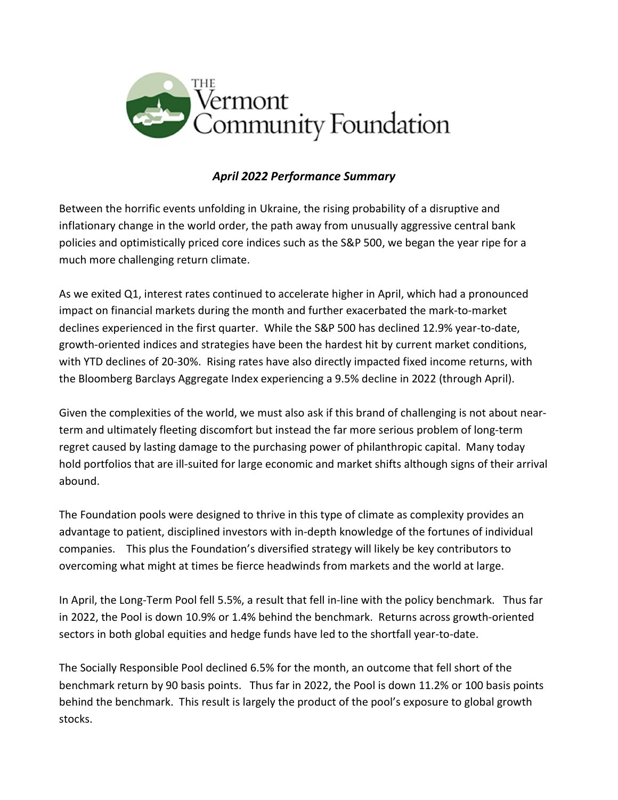

## April 2022 Performance Summary

Between the horrific events unfolding in Ukraine, the rising probability of a disruptive and inflationary change in the world order, the path away from unusually aggressive central bank policies and optimistically priced core indices such as the S&P 500, we began the year ripe for a much more challenging return climate.

As we exited Q1, interest rates continued to accelerate higher in April, which had a pronounced impact on financial markets during the month and further exacerbated the mark-to-market declines experienced in the first quarter. While the S&P 500 has declined 12.9% year-to-date, growth-oriented indices and strategies have been the hardest hit by current market conditions, with YTD declines of 20-30%. Rising rates have also directly impacted fixed income returns, with the Bloomberg Barclays Aggregate Index experiencing a 9.5% decline in 2022 (through April).

Given the complexities of the world, we must also ask if this brand of challenging is not about nearterm and ultimately fleeting discomfort but instead the far more serious problem of long-term regret caused by lasting damage to the purchasing power of philanthropic capital. Many today hold portfolios that are ill-suited for large economic and market shifts although signs of their arrival abound.

The Foundation pools were designed to thrive in this type of climate as complexity provides an advantage to patient, disciplined investors with in-depth knowledge of the fortunes of individual companies. This plus the Foundation's diversified strategy will likely be key contributors to overcoming what might at times be fierce headwinds from markets and the world at large.

In April, the Long-Term Pool fell 5.5%, a result that fell in-line with the policy benchmark. Thus far in 2022, the Pool is down 10.9% or 1.4% behind the benchmark. Returns across growth-oriented sectors in both global equities and hedge funds have led to the shortfall year-to-date.

The Socially Responsible Pool declined 6.5% for the month, an outcome that fell short of the benchmark return by 90 basis points. Thus far in 2022, the Pool is down 11.2% or 100 basis points behind the benchmark. This result is largely the product of the pool's exposure to global growth stocks.